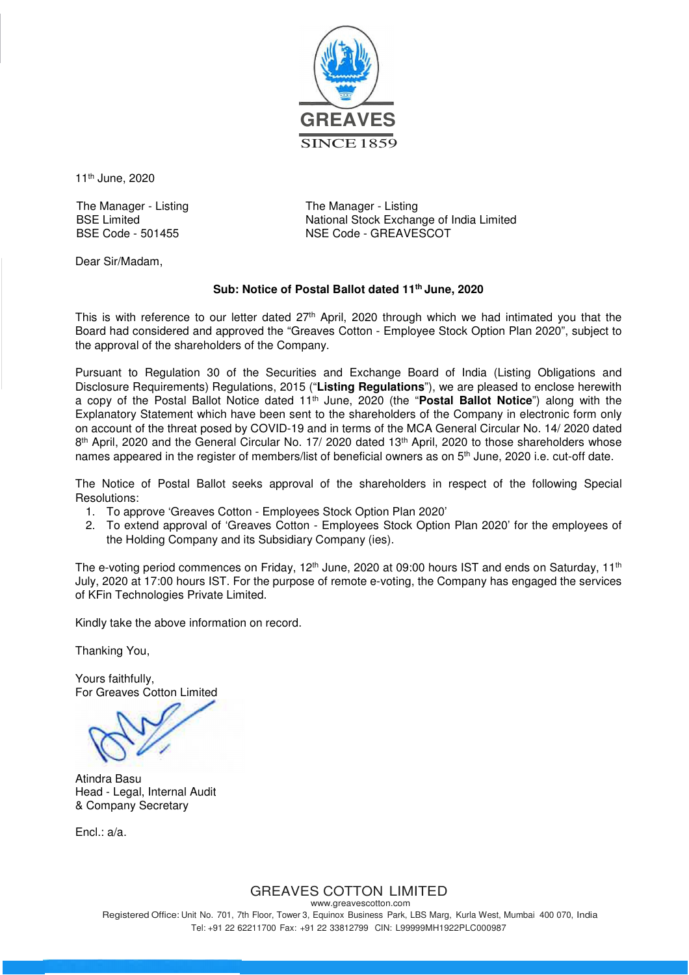

11th June, 2020

The Manager - Listing The Manager - Listing

BSE Limited<br>BSE Code - 501455<br>BSE Code - 501455<br>
NSE Code - GREAVESCOT NSE Code - GREAVESCOT

Dear Sir/Madam,

## **Sub: Notice of Postal Ballot dated 11th June, 2020**

This is with reference to our letter dated 27<sup>th</sup> April, 2020 through which we had intimated you that the Board had considered and approved the "Greaves Cotton - Employee Stock Option Plan 2020", subject to the approval of the shareholders of the Company.

Pursuant to Regulation 30 of the Securities and Exchange Board of India (Listing Obligations and Disclosure Requirements) Regulations, 2015 ("**Listing Regulations**"), we are pleased to enclose herewith a copy of the Postal Ballot Notice dated 11th June, 2020 (the "**Postal Ballot Notice**") along with the Explanatory Statement which have been sent to the shareholders of the Company in electronic form only on account of the threat posed by COVID-19 and in terms of the MCA General Circular No. 14/ 2020 dated 8<sup>th</sup> April, 2020 and the General Circular No. 17/ 2020 dated 13<sup>th</sup> April, 2020 to those shareholders whose names appeared in the register of members/list of beneficial owners as on 5<sup>th</sup> June, 2020 i.e. cut-off date.

The Notice of Postal Ballot seeks approval of the shareholders in respect of the following Special Resolutions:

- 1. To approve 'Greaves Cotton Employees Stock Option Plan 2020'
- 2. To extend approval of 'Greaves Cotton Employees Stock Option Plan 2020' for the employees of the Holding Company and its Subsidiary Company (ies).

The e-voting period commences on Friday, 12<sup>th</sup> June, 2020 at 09:00 hours IST and ends on Saturday, 11<sup>th</sup> July, 2020 at 17:00 hours IST. For the purpose of remote e-voting, the Company has engaged the services of KFin Technologies Private Limited.

Kindly take the above information on record.

Thanking You,

Yours faithfully, For Greaves Cotton Limited

Atindra Basu Head - Legal, Internal Audit & Company Secretary

Encl.: a/a.

# GREAVES COTTON LIMITED

www.greavescotton.com Registered Office: Unit No. 701, 7th Floor, Tower 3, Equinox Business Park, LBS Marg, Kurla West, Mumbai 400 070, India Tel: +91 22 62211700 Fax: +91 22 33812799 CIN: L99999MH1922PLC000987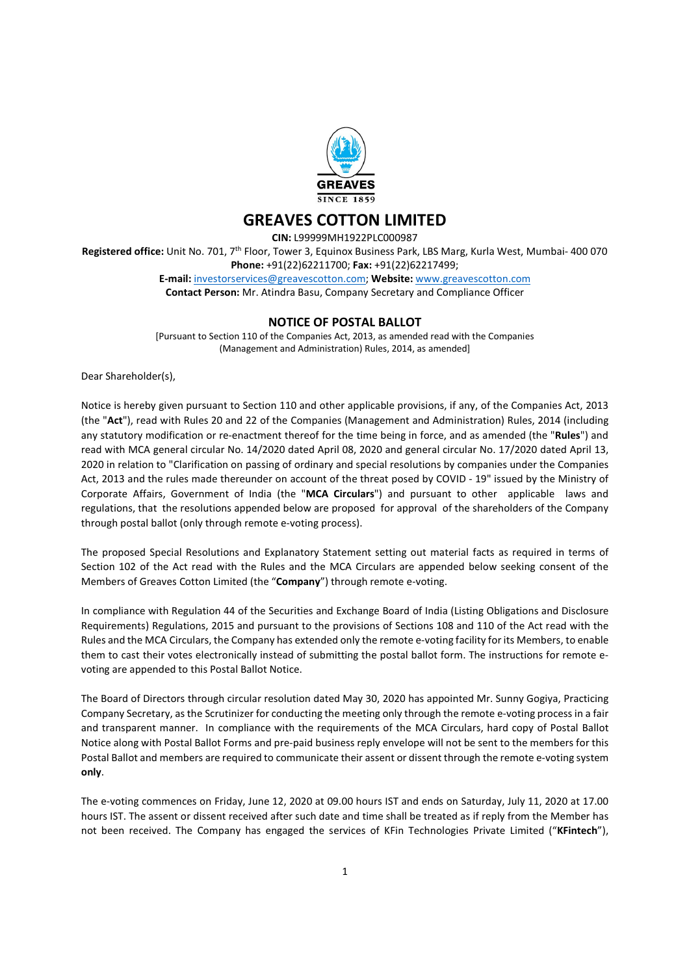

# GREAVES COTTON LIMITED

CIN: L99999MH1922PLC000987

Registered office: Unit No. 701, 7<sup>th</sup> Floor, Tower 3, Equinox Business Park, LBS Marg, Kurla West, Mumbai- 400 070 Phone: +91(22)62211700; Fax: +91(22)62217499; E-mail: investorservices@greavescotton.com; Website: www.greavescotton.com

Contact Person: Mr. Atindra Basu, Company Secretary and Compliance Officer

## NOTICE OF POSTAL BALLOT

[Pursuant to Section 110 of the Companies Act, 2013, as amended read with the Companies (Management and Administration) Rules, 2014, as amended]

Dear Shareholder(s),

Notice is hereby given pursuant to Section 110 and other applicable provisions, if any, of the Companies Act, 2013 (the "Act"), read with Rules 20 and 22 of the Companies (Management and Administration) Rules, 2014 (including any statutory modification or re-enactment thereof for the time being in force, and as amended (the "Rules") and read with MCA general circular No. 14/2020 dated April 08, 2020 and general circular No. 17/2020 dated April 13, 2020 in relation to "Clarification on passing of ordinary and special resolutions by companies under the Companies Act, 2013 and the rules made thereunder on account of the threat posed by COVID - 19" issued by the Ministry of Corporate Affairs, Government of India (the "MCA Circulars") and pursuant to other applicable laws and regulations, that the resolutions appended below are proposed for approval of the shareholders of the Company through postal ballot (only through remote e-voting process).

The proposed Special Resolutions and Explanatory Statement setting out material facts as required in terms of Section 102 of the Act read with the Rules and the MCA Circulars are appended below seeking consent of the Members of Greaves Cotton Limited (the "Company") through remote e-voting.

In compliance with Regulation 44 of the Securities and Exchange Board of India (Listing Obligations and Disclosure Requirements) Regulations, 2015 and pursuant to the provisions of Sections 108 and 110 of the Act read with the Rules and the MCA Circulars, the Company has extended only the remote e-voting facility for its Members, to enable them to cast their votes electronically instead of submitting the postal ballot form. The instructions for remote evoting are appended to this Postal Ballot Notice.

The Board of Directors through circular resolution dated May 30, 2020 has appointed Mr. Sunny Gogiya, Practicing Company Secretary, as the Scrutinizer for conducting the meeting only through the remote e-voting process in a fair and transparent manner. In compliance with the requirements of the MCA Circulars, hard copy of Postal Ballot Notice along with Postal Ballot Forms and pre-paid business reply envelope will not be sent to the members for this Postal Ballot and members are required to communicate their assent or dissent through the remote e-voting system only.

The e-voting commences on Friday, June 12, 2020 at 09.00 hours IST and ends on Saturday, July 11, 2020 at 17.00 hours IST. The assent or dissent received after such date and time shall be treated as if reply from the Member has not been received. The Company has engaged the services of KFin Technologies Private Limited ("KFintech"),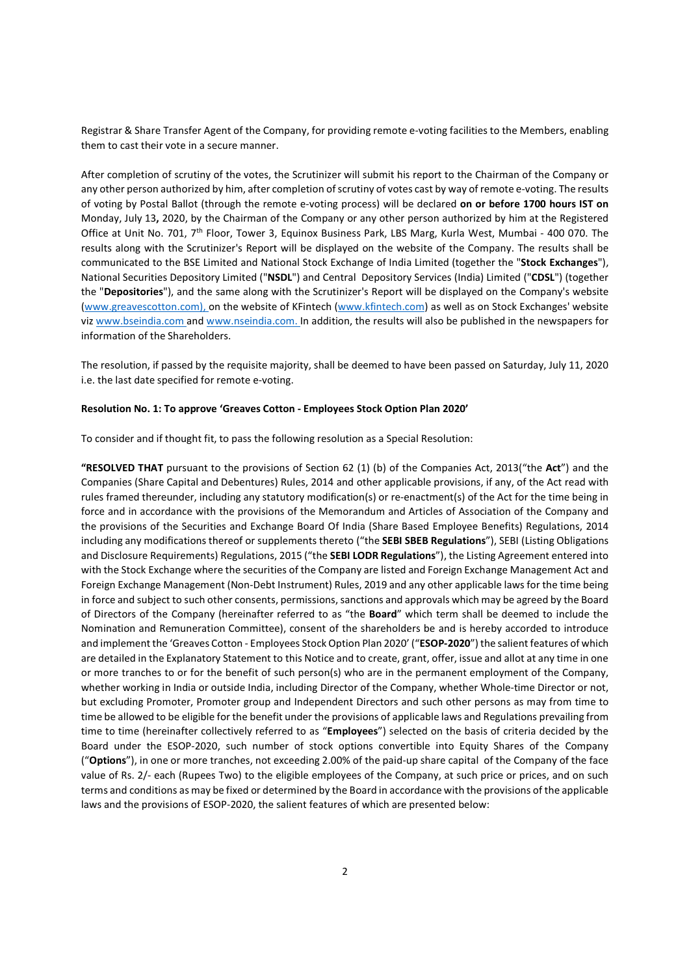Registrar & Share Transfer Agent of the Company, for providing remote e-voting facilities to the Members, enabling them to cast their vote in a secure manner.

After completion of scrutiny of the votes, the Scrutinizer will submit his report to the Chairman of the Company or any other person authorized by him, after completion of scrutiny of votes cast by way of remote e-voting. The results of voting by Postal Ballot (through the remote e-voting process) will be declared on or before 1700 hours IST on Monday, July 13, 2020, by the Chairman of the Company or any other person authorized by him at the Registered Office at Unit No. 701, 7th Floor, Tower 3, Equinox Business Park, LBS Marg, Kurla West, Mumbai - 400 070. The results along with the Scrutinizer's Report will be displayed on the website of the Company. The results shall be communicated to the BSE Limited and National Stock Exchange of India Limited (together the "Stock Exchanges"), National Securities Depository Limited ("NSDL") and Central Depository Services (India) Limited ("CDSL") (together the "Depositories"), and the same along with the Scrutinizer's Report will be displayed on the Company's website (www.greavescotton.com), on the website of KFintech (www.kfintech.com) as well as on Stock Exchanges' website viz www.bseindia.com and www.nseindia.com. In addition, the results will also be published in the newspapers for information of the Shareholders.

The resolution, if passed by the requisite majority, shall be deemed to have been passed on Saturday, July 11, 2020 i.e. the last date specified for remote e-voting.

#### Resolution No. 1: To approve 'Greaves Cotton - Employees Stock Option Plan 2020'

To consider and if thought fit, to pass the following resolution as a Special Resolution:

"RESOLVED THAT pursuant to the provisions of Section 62 (1) (b) of the Companies Act, 2013("the Act") and the Companies (Share Capital and Debentures) Rules, 2014 and other applicable provisions, if any, of the Act read with rules framed thereunder, including any statutory modification(s) or re-enactment(s) of the Act for the time being in force and in accordance with the provisions of the Memorandum and Articles of Association of the Company and the provisions of the Securities and Exchange Board Of India (Share Based Employee Benefits) Regulations, 2014 including any modifications thereof or supplements thereto ("the SEBI SBEB Regulations"), SEBI (Listing Obligations and Disclosure Requirements) Regulations, 2015 ("the SEBI LODR Regulations"), the Listing Agreement entered into with the Stock Exchange where the securities of the Company are listed and Foreign Exchange Management Act and Foreign Exchange Management (Non-Debt Instrument) Rules, 2019 and any other applicable laws for the time being in force and subject to such other consents, permissions, sanctions and approvals which may be agreed by the Board of Directors of the Company (hereinafter referred to as "the Board" which term shall be deemed to include the Nomination and Remuneration Committee), consent of the shareholders be and is hereby accorded to introduce and implement the 'Greaves Cotton - Employees Stock Option Plan 2020' ("ESOP-2020") the salient features of which are detailed in the Explanatory Statement to this Notice and to create, grant, offer, issue and allot at any time in one or more tranches to or for the benefit of such person(s) who are in the permanent employment of the Company, whether working in India or outside India, including Director of the Company, whether Whole-time Director or not, but excluding Promoter, Promoter group and Independent Directors and such other persons as may from time to time be allowed to be eligible for the benefit under the provisions of applicable laws and Regulations prevailing from time to time (hereinafter collectively referred to as "Employees") selected on the basis of criteria decided by the Board under the ESOP-2020, such number of stock options convertible into Equity Shares of the Company ("Options"), in one or more tranches, not exceeding 2.00% of the paid-up share capital of the Company of the face value of Rs. 2/- each (Rupees Two) to the eligible employees of the Company, at such price or prices, and on such terms and conditions as may be fixed or determined by the Board in accordance with the provisions of the applicable laws and the provisions of ESOP-2020, the salient features of which are presented below: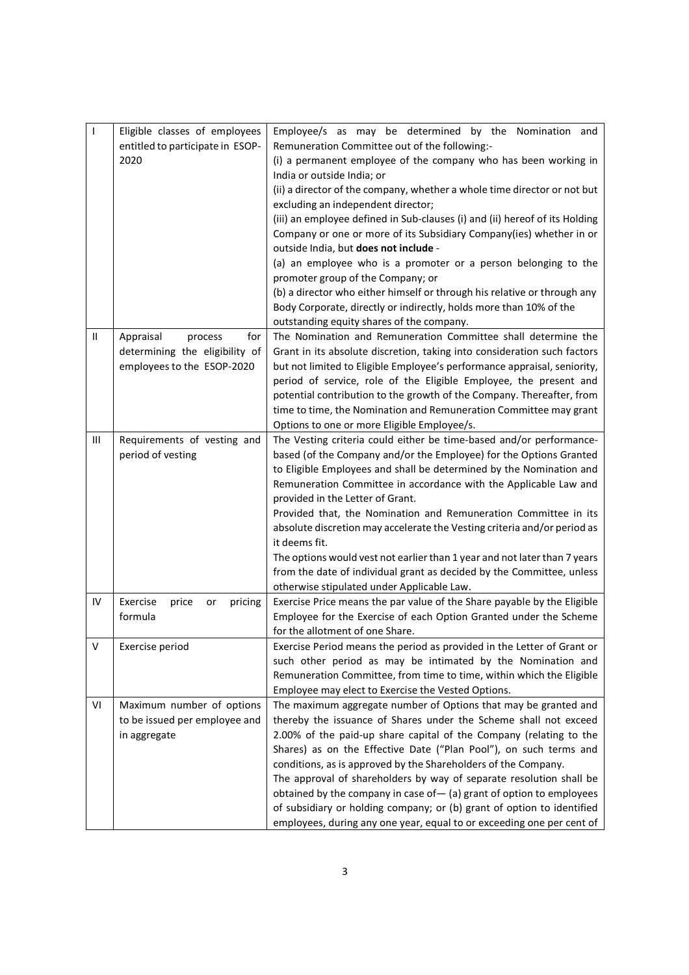| $\mathsf{I}$ | Eligible classes of employees      | Employee/s as may be determined by the Nomination and                                               |
|--------------|------------------------------------|-----------------------------------------------------------------------------------------------------|
|              | entitled to participate in ESOP-   | Remuneration Committee out of the following:-                                                       |
|              | 2020                               | (i) a permanent employee of the company who has been working in                                     |
|              |                                    | India or outside India; or                                                                          |
|              |                                    | (ii) a director of the company, whether a whole time director or not but                            |
|              |                                    | excluding an independent director;                                                                  |
|              |                                    | (iii) an employee defined in Sub-clauses (i) and (ii) hereof of its Holding                         |
|              |                                    | Company or one or more of its Subsidiary Company(ies) whether in or                                 |
|              |                                    | outside India, but does not include -                                                               |
|              |                                    | (a) an employee who is a promoter or a person belonging to the                                      |
|              |                                    | promoter group of the Company; or                                                                   |
|              |                                    | (b) a director who either himself or through his relative or through any                            |
|              |                                    | Body Corporate, directly or indirectly, holds more than 10% of the                                  |
|              |                                    | outstanding equity shares of the company.                                                           |
| $\mathbf{H}$ | Appraisal<br>process<br>for        | The Nomination and Remuneration Committee shall determine the                                       |
|              | determining the eligibility of     | Grant in its absolute discretion, taking into consideration such factors                            |
|              | employees to the ESOP-2020         | but not limited to Eligible Employee's performance appraisal, seniority,                            |
|              |                                    | period of service, role of the Eligible Employee, the present and                                   |
|              |                                    | potential contribution to the growth of the Company. Thereafter, from                               |
|              |                                    | time to time, the Nomination and Remuneration Committee may grant                                   |
|              |                                    | Options to one or more Eligible Employee/s.                                                         |
| Ш            | Requirements of vesting and        | The Vesting criteria could either be time-based and/or performance-                                 |
|              | period of vesting                  | based (of the Company and/or the Employee) for the Options Granted                                  |
|              |                                    | to Eligible Employees and shall be determined by the Nomination and                                 |
|              |                                    | Remuneration Committee in accordance with the Applicable Law and                                    |
|              |                                    | provided in the Letter of Grant.<br>Provided that, the Nomination and Remuneration Committee in its |
|              |                                    | absolute discretion may accelerate the Vesting criteria and/or period as                            |
|              |                                    | it deems fit.                                                                                       |
|              |                                    | The options would vest not earlier than 1 year and not later than 7 years                           |
|              |                                    | from the date of individual grant as decided by the Committee, unless                               |
|              |                                    | otherwise stipulated under Applicable Law.                                                          |
| IV           | Exercise<br>price<br>pricing<br>or | Exercise Price means the par value of the Share payable by the Eligible                             |
|              | formula                            | Employee for the Exercise of each Option Granted under the Scheme                                   |
|              |                                    | for the allotment of one Share.                                                                     |
| v            | Exercise period                    | Exercise Period means the period as provided in the Letter of Grant or                              |
|              |                                    | such other period as may be intimated by the Nomination and                                         |
|              |                                    | Remuneration Committee, from time to time, within which the Eligible                                |
|              |                                    | Employee may elect to Exercise the Vested Options.                                                  |
| VI           | Maximum number of options          | The maximum aggregate number of Options that may be granted and                                     |
|              | to be issued per employee and      | thereby the issuance of Shares under the Scheme shall not exceed                                    |
|              | in aggregate                       | 2.00% of the paid-up share capital of the Company (relating to the                                  |
|              |                                    | Shares) as on the Effective Date ("Plan Pool"), on such terms and                                   |
|              |                                    | conditions, as is approved by the Shareholders of the Company.                                      |
|              |                                    | The approval of shareholders by way of separate resolution shall be                                 |
|              |                                    | obtained by the company in case of $-$ (a) grant of option to employees                             |
|              |                                    | of subsidiary or holding company; or (b) grant of option to identified                              |
|              |                                    | employees, during any one year, equal to or exceeding one per cent of                               |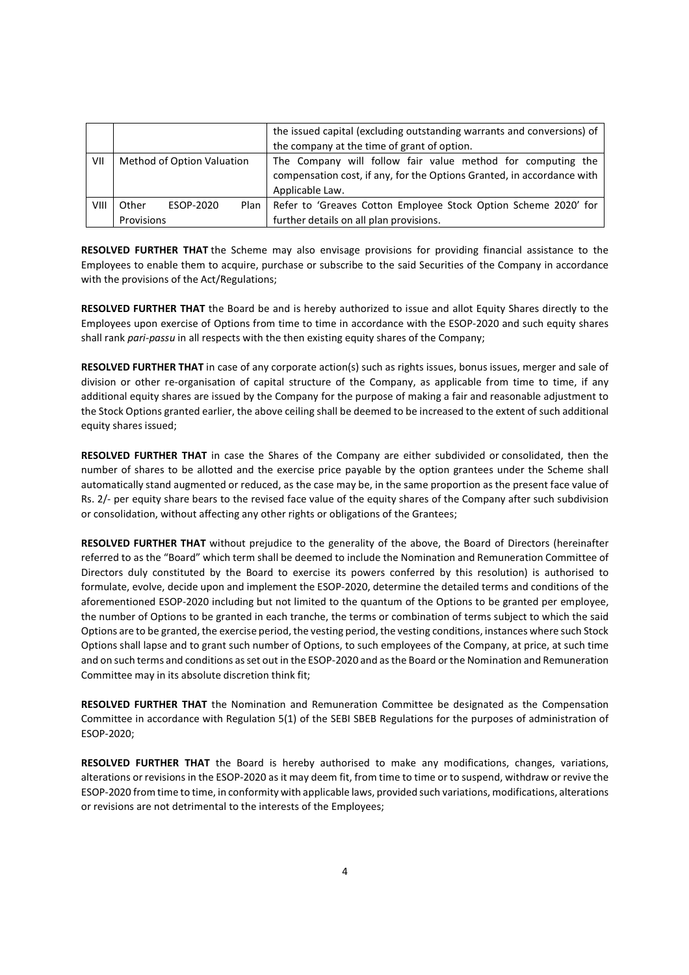|      |                            |           |        | the issued capital (excluding outstanding warrants and conversions) of |
|------|----------------------------|-----------|--------|------------------------------------------------------------------------|
|      |                            |           |        | the company at the time of grant of option.                            |
| VII  | Method of Option Valuation |           |        | The Company will follow fair value method for computing the            |
|      |                            |           |        | compensation cost, if any, for the Options Granted, in accordance with |
|      |                            |           |        | Applicable Law.                                                        |
| VIII | Other                      | ESOP-2020 | Plan I | Refer to 'Greaves Cotton Employee Stock Option Scheme 2020' for        |
|      | Provisions                 |           |        | further details on all plan provisions.                                |

RESOLVED FURTHER THAT the Scheme may also envisage provisions for providing financial assistance to the Employees to enable them to acquire, purchase or subscribe to the said Securities of the Company in accordance with the provisions of the Act/Regulations;

RESOLVED FURTHER THAT the Board be and is hereby authorized to issue and allot Equity Shares directly to the Employees upon exercise of Options from time to time in accordance with the ESOP-2020 and such equity shares shall rank pari-passu in all respects with the then existing equity shares of the Company;

RESOLVED FURTHER THAT in case of any corporate action(s) such as rights issues, bonus issues, merger and sale of division or other re-organisation of capital structure of the Company, as applicable from time to time, if any additional equity shares are issued by the Company for the purpose of making a fair and reasonable adjustment to the Stock Options granted earlier, the above ceiling shall be deemed to be increased to the extent of such additional equity shares issued;

RESOLVED FURTHER THAT in case the Shares of the Company are either subdivided or consolidated, then the number of shares to be allotted and the exercise price payable by the option grantees under the Scheme shall automatically stand augmented or reduced, as the case may be, in the same proportion as the present face value of Rs. 2/- per equity share bears to the revised face value of the equity shares of the Company after such subdivision or consolidation, without affecting any other rights or obligations of the Grantees;

RESOLVED FURTHER THAT without prejudice to the generality of the above, the Board of Directors (hereinafter referred to as the "Board" which term shall be deemed to include the Nomination and Remuneration Committee of Directors duly constituted by the Board to exercise its powers conferred by this resolution) is authorised to formulate, evolve, decide upon and implement the ESOP-2020, determine the detailed terms and conditions of the aforementioned ESOP-2020 including but not limited to the quantum of the Options to be granted per employee, the number of Options to be granted in each tranche, the terms or combination of terms subject to which the said Options are to be granted, the exercise period, the vesting period, the vesting conditions, instances where such Stock Options shall lapse and to grant such number of Options, to such employees of the Company, at price, at such time and on such terms and conditions as set out in the ESOP-2020 and as the Board or the Nomination and Remuneration Committee may in its absolute discretion think fit;

RESOLVED FURTHER THAT the Nomination and Remuneration Committee be designated as the Compensation Committee in accordance with Regulation 5(1) of the SEBI SBEB Regulations for the purposes of administration of ESOP-2020;

RESOLVED FURTHER THAT the Board is hereby authorised to make any modifications, changes, variations, alterations or revisions in the ESOP-2020 as it may deem fit, from time to time or to suspend, withdraw or revive the ESOP-2020 from time to time, in conformity with applicable laws, provided such variations, modifications, alterations or revisions are not detrimental to the interests of the Employees;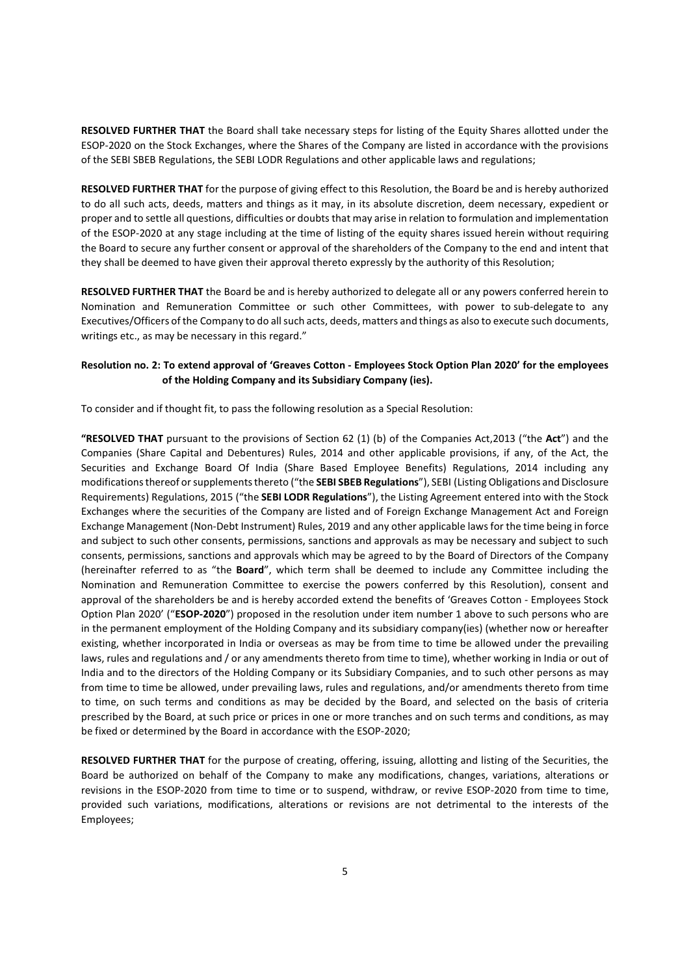RESOLVED FURTHER THAT the Board shall take necessary steps for listing of the Equity Shares allotted under the ESOP-2020 on the Stock Exchanges, where the Shares of the Company are listed in accordance with the provisions of the SEBI SBEB Regulations, the SEBI LODR Regulations and other applicable laws and regulations;

RESOLVED FURTHER THAT for the purpose of giving effect to this Resolution, the Board be and is hereby authorized to do all such acts, deeds, matters and things as it may, in its absolute discretion, deem necessary, expedient or proper and to settle all questions, difficulties or doubts that may arise in relation to formulation and implementation of the ESOP-2020 at any stage including at the time of listing of the equity shares issued herein without requiring the Board to secure any further consent or approval of the shareholders of the Company to the end and intent that they shall be deemed to have given their approval thereto expressly by the authority of this Resolution;

RESOLVED FURTHER THAT the Board be and is hereby authorized to delegate all or any powers conferred herein to Nomination and Remuneration Committee or such other Committees, with power to sub-delegate to any Executives/Officers of the Company to do all such acts, deeds, matters and things as also to execute such documents, writings etc., as may be necessary in this regard."

### Resolution no. 2: To extend approval of 'Greaves Cotton - Employees Stock Option Plan 2020' for the employees of the Holding Company and its Subsidiary Company (ies).

To consider and if thought fit, to pass the following resolution as a Special Resolution:

"RESOLVED THAT pursuant to the provisions of Section 62 (1) (b) of the Companies Act,2013 ("the Act") and the Companies (Share Capital and Debentures) Rules, 2014 and other applicable provisions, if any, of the Act, the Securities and Exchange Board Of India (Share Based Employee Benefits) Regulations, 2014 including any modifications thereof or supplements thereto ("the SEBI SBEB Regulations"), SEBI (Listing Obligations and Disclosure Requirements) Regulations, 2015 ("the SEBI LODR Regulations"), the Listing Agreement entered into with the Stock Exchanges where the securities of the Company are listed and of Foreign Exchange Management Act and Foreign Exchange Management (Non-Debt Instrument) Rules, 2019 and any other applicable laws for the time being in force and subject to such other consents, permissions, sanctions and approvals as may be necessary and subject to such consents, permissions, sanctions and approvals which may be agreed to by the Board of Directors of the Company (hereinafter referred to as "the Board", which term shall be deemed to include any Committee including the Nomination and Remuneration Committee to exercise the powers conferred by this Resolution), consent and approval of the shareholders be and is hereby accorded extend the benefits of 'Greaves Cotton - Employees Stock Option Plan 2020' ("ESOP-2020") proposed in the resolution under item number 1 above to such persons who are in the permanent employment of the Holding Company and its subsidiary company(ies) (whether now or hereafter existing, whether incorporated in India or overseas as may be from time to time be allowed under the prevailing laws, rules and regulations and / or any amendments thereto from time to time), whether working in India or out of India and to the directors of the Holding Company or its Subsidiary Companies, and to such other persons as may from time to time be allowed, under prevailing laws, rules and regulations, and/or amendments thereto from time to time, on such terms and conditions as may be decided by the Board, and selected on the basis of criteria prescribed by the Board, at such price or prices in one or more tranches and on such terms and conditions, as may be fixed or determined by the Board in accordance with the ESOP-2020;

RESOLVED FURTHER THAT for the purpose of creating, offering, issuing, allotting and listing of the Securities, the Board be authorized on behalf of the Company to make any modifications, changes, variations, alterations or revisions in the ESOP-2020 from time to time or to suspend, withdraw, or revive ESOP-2020 from time to time, provided such variations, modifications, alterations or revisions are not detrimental to the interests of the Employees;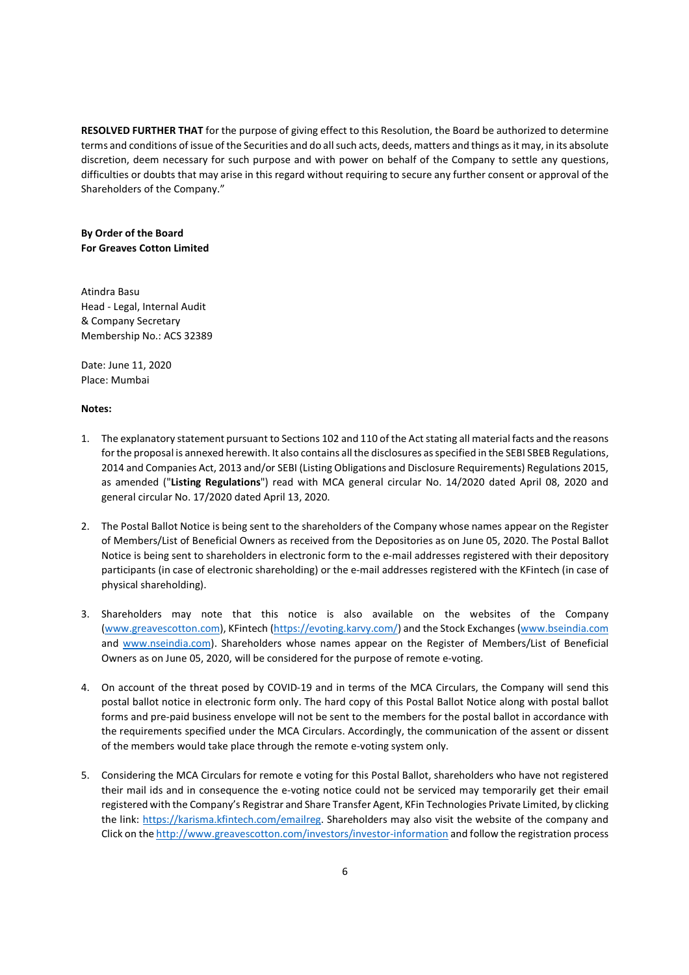RESOLVED FURTHER THAT for the purpose of giving effect to this Resolution, the Board be authorized to determine terms and conditions of issue of the Securities and do all such acts, deeds, matters and things as it may, in its absolute discretion, deem necessary for such purpose and with power on behalf of the Company to settle any questions, difficulties or doubts that may arise in this regard without requiring to secure any further consent or approval of the Shareholders of the Company."

By Order of the Board For Greaves Cotton Limited

Atindra Basu Head - Legal, Internal Audit & Company Secretary Membership No.: ACS 32389

Date: June 11, 2020 Place: Mumbai

### Notes:

- 1. The explanatory statement pursuant to Sections 102 and 110 of the Act stating all material facts and the reasons for the proposal is annexed herewith. It also contains all the disclosures as specified in the SEBI SBEB Regulations, 2014 and Companies Act, 2013 and/or SEBI (Listing Obligations and Disclosure Requirements) Regulations 2015, as amended ("Listing Regulations") read with MCA general circular No. 14/2020 dated April 08, 2020 and general circular No. 17/2020 dated April 13, 2020.
- 2. The Postal Ballot Notice is being sent to the shareholders of the Company whose names appear on the Register of Members/List of Beneficial Owners as received from the Depositories as on June 05, 2020. The Postal Ballot Notice is being sent to shareholders in electronic form to the e-mail addresses registered with their depository participants (in case of electronic shareholding) or the e-mail addresses registered with the KFintech (in case of physical shareholding).
- 3. Shareholders may note that this notice is also available on the websites of the Company (www.greavescotton.com), KFintech (https://evoting.karvy.com/) and the Stock Exchanges (www.bseindia.com and www.nseindia.com). Shareholders whose names appear on the Register of Members/List of Beneficial Owners as on June 05, 2020, will be considered for the purpose of remote e-voting.
- 4. On account of the threat posed by COVID-19 and in terms of the MCA Circulars, the Company will send this postal ballot notice in electronic form only. The hard copy of this Postal Ballot Notice along with postal ballot forms and pre-paid business envelope will not be sent to the members for the postal ballot in accordance with the requirements specified under the MCA Circulars. Accordingly, the communication of the assent or dissent of the members would take place through the remote e-voting system only.
- 5. Considering the MCA Circulars for remote e voting for this Postal Ballot, shareholders who have not registered their mail ids and in consequence the e-voting notice could not be serviced may temporarily get their email registered with the Company's Registrar and Share Transfer Agent, KFin Technologies Private Limited, by clicking the link: https://karisma.kfintech.com/emailreg. Shareholders may also visit the website of the company and Click on the http://www.greavescotton.com/investors/investor-information and follow the registration process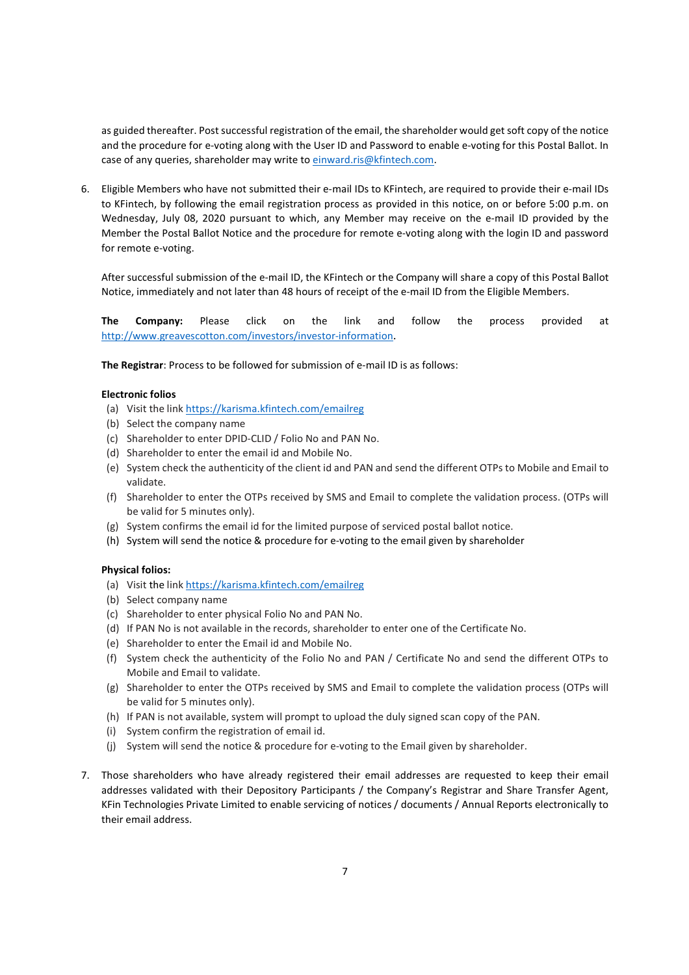as guided thereafter. Post successful registration of the email, the shareholder would get soft copy of the notice and the procedure for e-voting along with the User ID and Password to enable e-voting for this Postal Ballot. In case of any queries, shareholder may write to einward.ris@kfintech.com.

6. Eligible Members who have not submitted their e-mail IDs to KFintech, are required to provide their e-mail IDs to KFintech, by following the email registration process as provided in this notice, on or before 5:00 p.m. on Wednesday, July 08, 2020 pursuant to which, any Member may receive on the e-mail ID provided by the Member the Postal Ballot Notice and the procedure for remote e-voting along with the login ID and password for remote e-voting.

After successful submission of the e-mail ID, the KFintech or the Company will share a copy of this Postal Ballot Notice, immediately and not later than 48 hours of receipt of the e-mail ID from the Eligible Members.

The Company: Please click on the link and follow the process provided at http://www.greavescotton.com/investors/investor-information.

The Registrar: Process to be followed for submission of e-mail ID is as follows:

### Electronic folios

- (a) Visit the link https://karisma.kfintech.com/emailreg
- (b) Select the company name
- (c) Shareholder to enter DPID-CLID / Folio No and PAN No.
- (d) Shareholder to enter the email id and Mobile No.
- (e) System check the authenticity of the client id and PAN and send the different OTPs to Mobile and Email to validate.
- (f) Shareholder to enter the OTPs received by SMS and Email to complete the validation process. (OTPs will be valid for 5 minutes only).
- (g) System confirms the email id for the limited purpose of serviced postal ballot notice.
- (h) System will send the notice & procedure for e-voting to the email given by shareholder

### Physical folios:

- (a) Visit the link https://karisma.kfintech.com/emailreg
- (b) Select company name
- (c) Shareholder to enter physical Folio No and PAN No.
- (d) If PAN No is not available in the records, shareholder to enter one of the Certificate No.
- (e) Shareholder to enter the Email id and Mobile No.
- (f) System check the authenticity of the Folio No and PAN / Certificate No and send the different OTPs to Mobile and Email to validate.
- (g) Shareholder to enter the OTPs received by SMS and Email to complete the validation process (OTPs will be valid for 5 minutes only).
- (h) If PAN is not available, system will prompt to upload the duly signed scan copy of the PAN.
- (i) System confirm the registration of email id.
- (j) System will send the notice & procedure for e-voting to the Email given by shareholder.
- 7. Those shareholders who have already registered their email addresses are requested to keep their email addresses validated with their Depository Participants / the Company's Registrar and Share Transfer Agent, KFin Technologies Private Limited to enable servicing of notices / documents / Annual Reports electronically to their email address.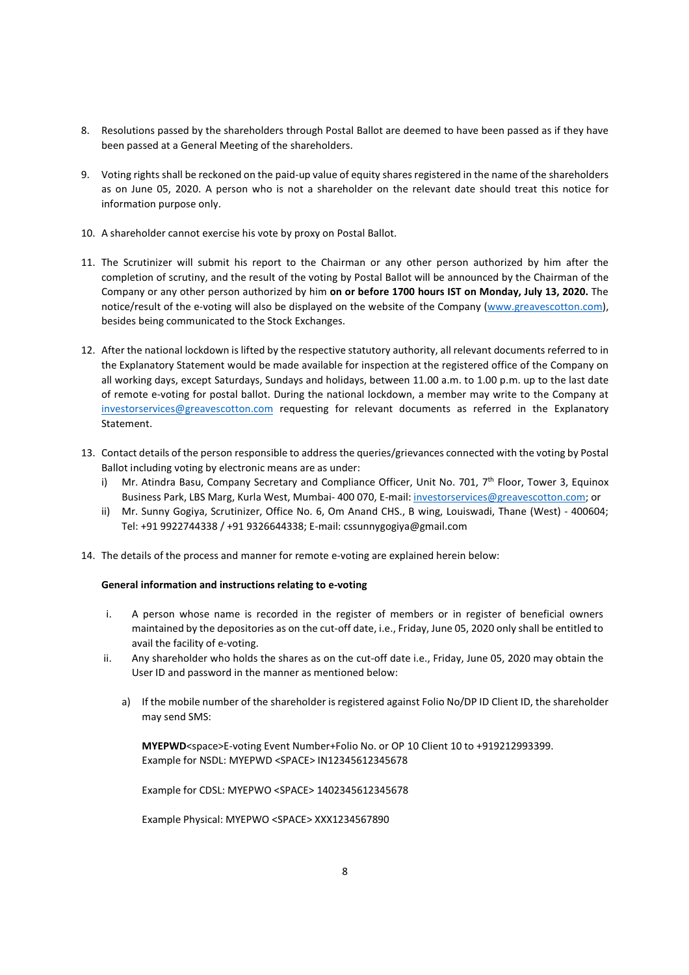- 8. Resolutions passed by the shareholders through Postal Ballot are deemed to have been passed as if they have been passed at a General Meeting of the shareholders.
- 9. Voting rights shall be reckoned on the paid-up value of equity shares registered in the name of the shareholders as on June 05, 2020. A person who is not a shareholder on the relevant date should treat this notice for information purpose only.
- 10. A shareholder cannot exercise his vote by proxy on Postal Ballot.
- 11. The Scrutinizer will submit his report to the Chairman or any other person authorized by him after the completion of scrutiny, and the result of the voting by Postal Ballot will be announced by the Chairman of the Company or any other person authorized by him on or before 1700 hours IST on Monday, July 13, 2020. The notice/result of the e-voting will also be displayed on the website of the Company (www.greavescotton.com), besides being communicated to the Stock Exchanges.
- 12. After the national lockdown is lifted by the respective statutory authority, all relevant documents referred to in the Explanatory Statement would be made available for inspection at the registered office of the Company on all working days, except Saturdays, Sundays and holidays, between 11.00 a.m. to 1.00 p.m. up to the last date of remote e-voting for postal ballot. During the national lockdown, a member may write to the Company at investorservices@greavescotton.com requesting for relevant documents as referred in the Explanatory Statement.
- 13. Contact details of the person responsible to address the queries/grievances connected with the voting by Postal Ballot including voting by electronic means are as under:
	- i) Mr. Atindra Basu, Company Secretary and Compliance Officer, Unit No. 701,  $7<sup>th</sup>$  Floor, Tower 3, Equinox Business Park, LBS Marg, Kurla West, Mumbai- 400 070, E-mail: investorservices@greavescotton.com; or
	- ii) Mr. Sunny Gogiya, Scrutinizer, Office No. 6, Om Anand CHS., B wing, Louiswadi, Thane (West) 400604; Tel: +91 9922744338 / +91 9326644338; E-mail: cssunnygogiya@gmail.com
- 14. The details of the process and manner for remote e-voting are explained herein below:

### General information and instructions relating to e-voting

- i. A person whose name is recorded in the register of members or in register of beneficial owners maintained by the depositories as on the cut-off date, i.e., Friday, June 05, 2020 only shall be entitled to avail the facility of e-voting.
- ii. Any shareholder who holds the shares as on the cut-off date i.e., Friday, June 05, 2020 may obtain the User ID and password in the manner as mentioned below:
	- a) If the mobile number of the shareholder is registered against Folio No/DP ID Client ID, the shareholder may send SMS:

MYEPWD<space>E-voting Event Number+Folio No. or OP 10 Client 10 to +919212993399. Example for NSDL: MYEPWD <SPACE> IN12345612345678

Example for CDSL: MYEPWO <SPACE> 1402345612345678

Example Physical: MYEPWO <SPACE> XXX1234567890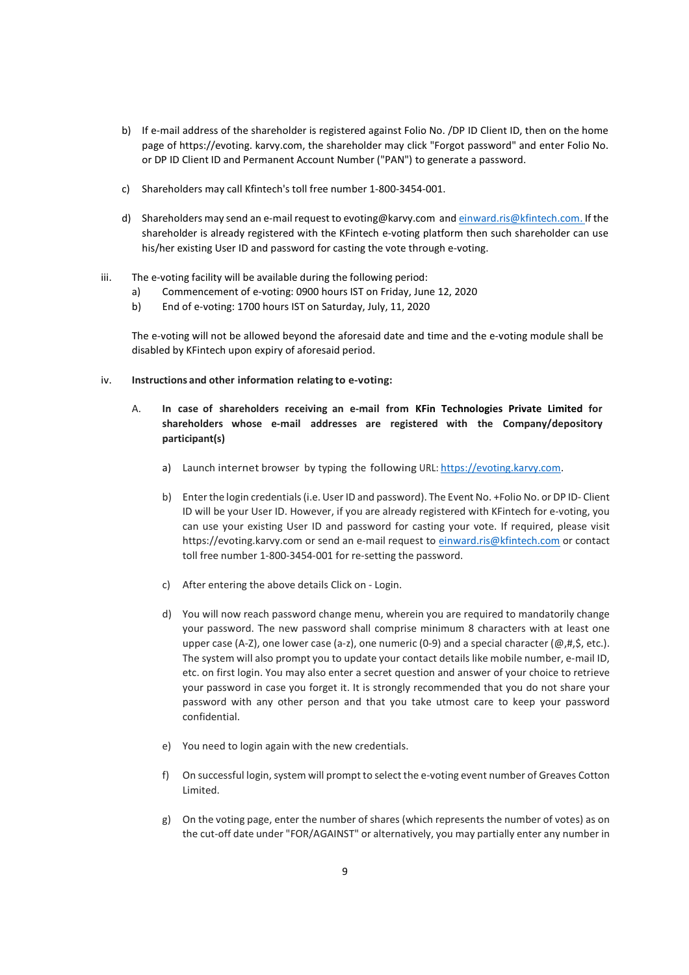- b) If e-mail address of the shareholder is registered against Folio No. /DP ID Client ID, then on the home page of https://evoting. karvy.com, the shareholder may click "Forgot password" and enter Folio No. or DP ID Client ID and Permanent Account Number ("PAN") to generate a password.
- c) Shareholders may call Kfintech's toll free number 1-800-3454-001.
- d) Shareholders may send an e-mail request to evoting@karvy.com and einward.ris@kfintech.com. If the shareholder is already registered with the KFintech e-voting platform then such shareholder can use his/her existing User ID and password for casting the vote through e-voting.
- iii. The e-voting facility will be available during the following period:
	- a) Commencement of e-voting: 0900 hours IST on Friday, June 12, 2020
	- b) End of e-voting: 1700 hours IST on Saturday, July, 11, 2020

The e-voting will not be allowed beyond the aforesaid date and time and the e-voting module shall be disabled by KFintech upon expiry of aforesaid period.

- iv. Instructions and other information relating to e-voting:
	- A. In case of shareholders receiving an e-mail from KFin Technologies Private Limited for shareholders whose e-mail addresses are registered with the Company/depository participant(s)
		- a) Launch internet browser by typing the following URL: https://evoting.karvy.com.
		- b) Enter the login credentials (i.e. User ID and password). The Event No. +Folio No. or DP ID- Client ID will be your User ID. However, if you are already registered with KFintech for e-voting, you can use your existing User ID and password for casting your vote. If required, please visit https://evoting.karvy.com or send an e-mail request to einward.ris@kfintech.com or contact toll free number 1-800-3454-001 for re-setting the password.
		- c) After entering the above details Click on Login.
		- d) You will now reach password change menu, wherein you are required to mandatorily change your password. The new password shall comprise minimum 8 characters with at least one upper case (A-Z), one lower case (a-z), one numeric (0-9) and a special character ( $@, #, \$$ , etc.). The system will also prompt you to update your contact details like mobile number, e-mail ID, etc. on first login. You may also enter a secret question and answer of your choice to retrieve your password in case you forget it. It is strongly recommended that you do not share your password with any other person and that you take utmost care to keep your password confidential.
		- e) You need to login again with the new credentials.
		- f) On successful login, system will prompt to select the e-voting event number of Greaves Cotton Limited.
		- g) On the voting page, enter the number of shares (which represents the number of votes) as on the cut-off date under "FOR/AGAINST" or alternatively, you may partially enter any number in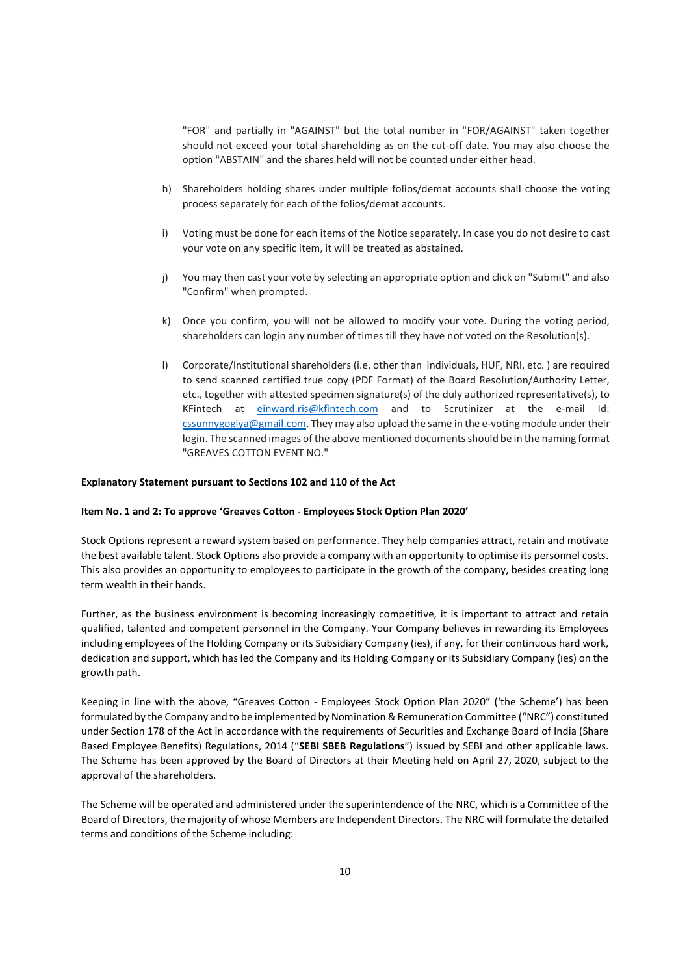"FOR" and partially in "AGAINST" but the total number in "FOR/AGAINST" taken together should not exceed your total shareholding as on the cut-off date. You may also choose the option "ABSTAIN" and the shares held will not be counted under either head.

- h) Shareholders holding shares under multiple folios/demat accounts shall choose the voting process separately for each of the folios/demat accounts.
- i) Voting must be done for each items of the Notice separately. In case you do not desire to cast your vote on any specific item, it will be treated as abstained.
- j) You may then cast your vote by selecting an appropriate option and click on "Submit" and also "Confirm" when prompted.
- k) Once you confirm, you will not be allowed to modify your vote. During the voting period, shareholders can login any number of times till they have not voted on the Resolution(s).
- l) Corporate/Institutional shareholders (i.e. other than individuals, HUF, NRI, etc. ) are required to send scanned certified true copy (PDF Format) of the Board Resolution/Authority Letter, etc., together with attested specimen signature(s) of the duly authorized representative(s), to KFintech at einward.ris@kfintech.com and to Scrutinizer at the e-mail Id: cssunnygogiya@gmail.com. They may also upload the same in the e-voting module under their login. The scanned images of the above mentioned documents should be in the naming format "GREAVES COTTON EVENT NO."

#### Explanatory Statement pursuant to Sections 102 and 110 of the Act

### Item No. 1 and 2: To approve 'Greaves Cotton - Employees Stock Option Plan 2020'

Stock Options represent a reward system based on performance. They help companies attract, retain and motivate the best available talent. Stock Options also provide a company with an opportunity to optimise its personnel costs. This also provides an opportunity to employees to participate in the growth of the company, besides creating long term wealth in their hands.

Further, as the business environment is becoming increasingly competitive, it is important to attract and retain qualified, talented and competent personnel in the Company. Your Company believes in rewarding its Employees including employees of the Holding Company or its Subsidiary Company (ies), if any, for their continuous hard work, dedication and support, which has led the Company and its Holding Company or its Subsidiary Company (ies) on the growth path.

Keeping in line with the above, "Greaves Cotton - Employees Stock Option Plan 2020" ('the Scheme') has been formulated by the Company and to be implemented by Nomination & Remuneration Committee ("NRC") constituted under Section 178 of the Act in accordance with the requirements of Securities and Exchange Board of India (Share Based Employee Benefits) Regulations, 2014 ("SEBI SBEB Regulations") issued by SEBI and other applicable laws. The Scheme has been approved by the Board of Directors at their Meeting held on April 27, 2020, subject to the approval of the shareholders.

The Scheme will be operated and administered under the superintendence of the NRC, which is a Committee of the Board of Directors, the majority of whose Members are Independent Directors. The NRC will formulate the detailed terms and conditions of the Scheme including: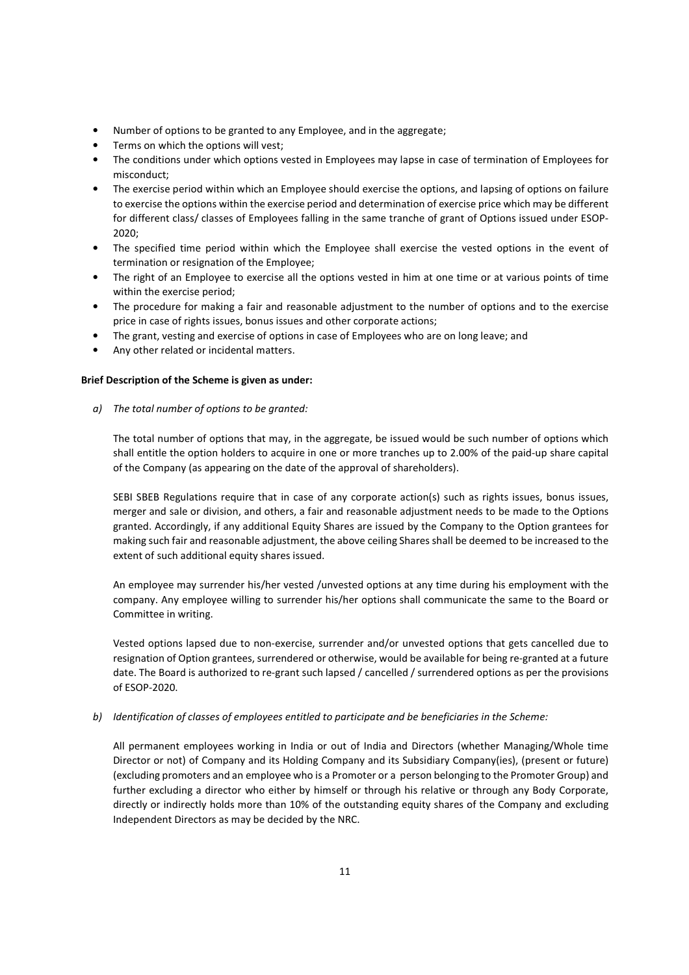- Number of options to be granted to any Employee, and in the aggregate;
- Terms on which the options will vest;
- The conditions under which options vested in Employees may lapse in case of termination of Employees for misconduct;
- The exercise period within which an Employee should exercise the options, and lapsing of options on failure to exercise the options within the exercise period and determination of exercise price which may be different for different class/ classes of Employees falling in the same tranche of grant of Options issued under ESOP-2020;
- The specified time period within which the Employee shall exercise the vested options in the event of termination or resignation of the Employee;
- The right of an Employee to exercise all the options vested in him at one time or at various points of time within the exercise period;
- The procedure for making a fair and reasonable adjustment to the number of options and to the exercise price in case of rights issues, bonus issues and other corporate actions;
- The grant, vesting and exercise of options in case of Employees who are on long leave; and
- Any other related or incidental matters.

### Brief Description of the Scheme is given as under:

a) The total number of options to be granted:

The total number of options that may, in the aggregate, be issued would be such number of options which shall entitle the option holders to acquire in one or more tranches up to 2.00% of the paid-up share capital of the Company (as appearing on the date of the approval of shareholders).

SEBI SBEB Regulations require that in case of any corporate action(s) such as rights issues, bonus issues, merger and sale or division, and others, a fair and reasonable adjustment needs to be made to the Options granted. Accordingly, if any additional Equity Shares are issued by the Company to the Option grantees for making such fair and reasonable adjustment, the above ceiling Shares shall be deemed to be increased to the extent of such additional equity shares issued.

An employee may surrender his/her vested /unvested options at any time during his employment with the company. Any employee willing to surrender his/her options shall communicate the same to the Board or Committee in writing.

Vested options lapsed due to non-exercise, surrender and/or unvested options that gets cancelled due to resignation of Option grantees, surrendered or otherwise, would be available for being re-granted at a future date. The Board is authorized to re-grant such lapsed / cancelled / surrendered options as per the provisions of ESOP-2020.

b) Identification of classes of employees entitled to participate and be beneficiaries in the Scheme:

All permanent employees working in India or out of India and Directors (whether Managing/Whole time Director or not) of Company and its Holding Company and its Subsidiary Company(ies), (present or future) (excluding promoters and an employee who is a Promoter or a person belonging to the Promoter Group) and further excluding a director who either by himself or through his relative or through any Body Corporate, directly or indirectly holds more than 10% of the outstanding equity shares of the Company and excluding Independent Directors as may be decided by the NRC.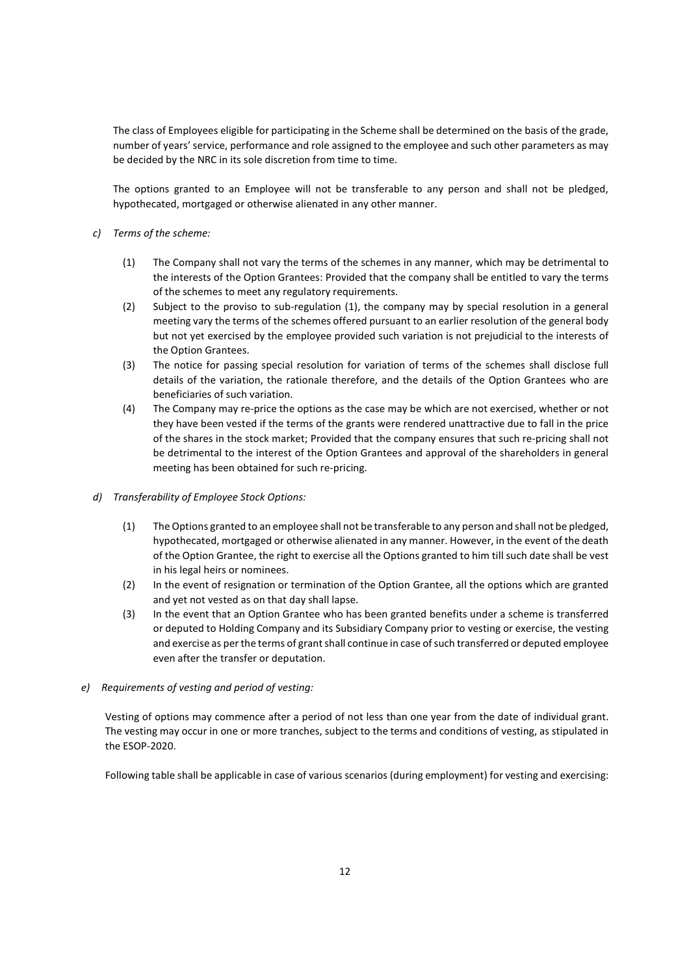The class of Employees eligible for participating in the Scheme shall be determined on the basis of the grade, number of years' service, performance and role assigned to the employee and such other parameters as may be decided by the NRC in its sole discretion from time to time.

The options granted to an Employee will not be transferable to any person and shall not be pledged, hypothecated, mortgaged or otherwise alienated in any other manner.

- c) Terms of the scheme:
	- (1) The Company shall not vary the terms of the schemes in any manner, which may be detrimental to the interests of the Option Grantees: Provided that the company shall be entitled to vary the terms of the schemes to meet any regulatory requirements.
	- (2) Subject to the proviso to sub-regulation (1), the company may by special resolution in a general meeting vary the terms of the schemes offered pursuant to an earlier resolution of the general body but not yet exercised by the employee provided such variation is not prejudicial to the interests of the Option Grantees.
	- (3) The notice for passing special resolution for variation of terms of the schemes shall disclose full details of the variation, the rationale therefore, and the details of the Option Grantees who are beneficiaries of such variation.
	- (4) The Company may re-price the options as the case may be which are not exercised, whether or not they have been vested if the terms of the grants were rendered unattractive due to fall in the price of the shares in the stock market; Provided that the company ensures that such re-pricing shall not be detrimental to the interest of the Option Grantees and approval of the shareholders in general meeting has been obtained for such re-pricing.
- d) Transferability of Employee Stock Options:
	- (1) The Options granted to an employee shall not be transferable to any person and shall not be pledged, hypothecated, mortgaged or otherwise alienated in any manner. However, in the event of the death of the Option Grantee, the right to exercise all the Options granted to him till such date shall be vest in his legal heirs or nominees.
	- (2) In the event of resignation or termination of the Option Grantee, all the options which are granted and yet not vested as on that day shall lapse.
	- (3) In the event that an Option Grantee who has been granted benefits under a scheme is transferred or deputed to Holding Company and its Subsidiary Company prior to vesting or exercise, the vesting and exercise as per the terms of grant shall continue in case of such transferred or deputed employee even after the transfer or deputation.

### e) Requirements of vesting and period of vesting:

Vesting of options may commence after a period of not less than one year from the date of individual grant. The vesting may occur in one or more tranches, subject to the terms and conditions of vesting, as stipulated in the ESOP-2020.

Following table shall be applicable in case of various scenarios (during employment) for vesting and exercising: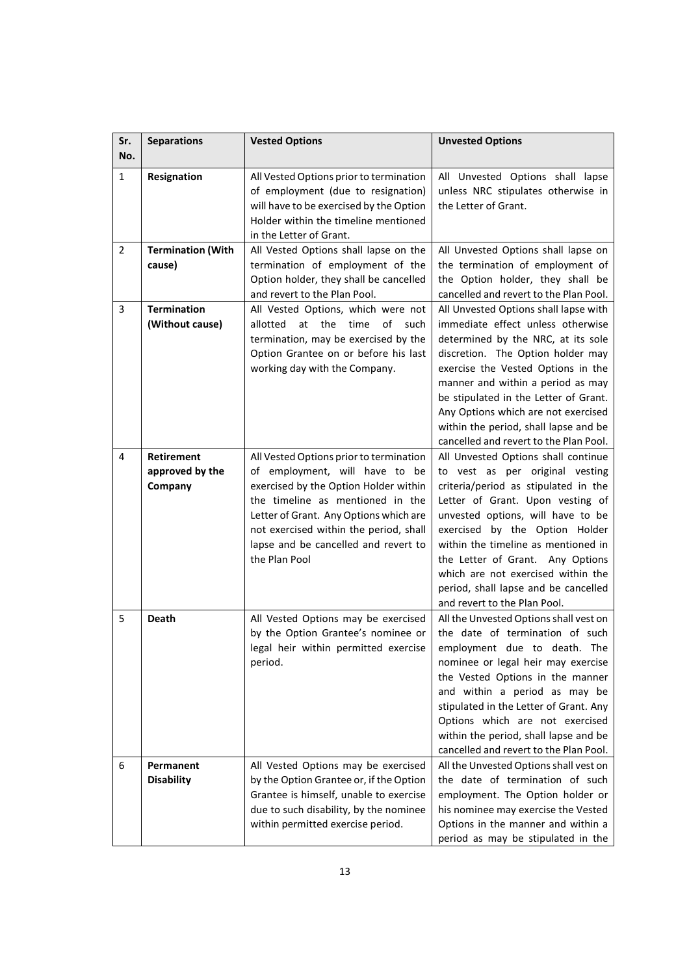| Sr.<br>No.     | <b>Separations</b>                       | <b>Vested Options</b>                                                                                                                                                                                                                                                                               | <b>Unvested Options</b>                                                                                                                                                                                                                                                                                                                                                                                            |
|----------------|------------------------------------------|-----------------------------------------------------------------------------------------------------------------------------------------------------------------------------------------------------------------------------------------------------------------------------------------------------|--------------------------------------------------------------------------------------------------------------------------------------------------------------------------------------------------------------------------------------------------------------------------------------------------------------------------------------------------------------------------------------------------------------------|
| 1              | Resignation                              | All Vested Options prior to termination<br>of employment (due to resignation)<br>will have to be exercised by the Option<br>Holder within the timeline mentioned<br>in the Letter of Grant.                                                                                                         | All Unvested Options shall lapse<br>unless NRC stipulates otherwise in<br>the Letter of Grant.                                                                                                                                                                                                                                                                                                                     |
| 2              | <b>Termination (With</b><br>cause)       | All Vested Options shall lapse on the<br>termination of employment of the<br>Option holder, they shall be cancelled<br>and revert to the Plan Pool.                                                                                                                                                 | All Unvested Options shall lapse on<br>the termination of employment of<br>the Option holder, they shall be<br>cancelled and revert to the Plan Pool.                                                                                                                                                                                                                                                              |
| 3              | <b>Termination</b><br>(Without cause)    | All Vested Options, which were not<br>at the<br>time<br>of<br>such<br>allotted<br>termination, may be exercised by the<br>Option Grantee on or before his last<br>working day with the Company.                                                                                                     | All Unvested Options shall lapse with<br>immediate effect unless otherwise<br>determined by the NRC, at its sole<br>discretion. The Option holder may<br>exercise the Vested Options in the<br>manner and within a period as may<br>be stipulated in the Letter of Grant.<br>Any Options which are not exercised<br>within the period, shall lapse and be<br>cancelled and revert to the Plan Pool.                |
| $\overline{4}$ | Retirement<br>approved by the<br>Company | All Vested Options prior to termination<br>of employment, will have to be<br>exercised by the Option Holder within<br>the timeline as mentioned in the<br>Letter of Grant. Any Options which are<br>not exercised within the period, shall<br>lapse and be cancelled and revert to<br>the Plan Pool | All Unvested Options shall continue<br>to vest as per original vesting<br>criteria/period as stipulated in the<br>Letter of Grant. Upon vesting of<br>unvested options, will have to be<br>exercised by the Option Holder<br>within the timeline as mentioned in<br>the Letter of Grant. Any Options<br>which are not exercised within the<br>period, shall lapse and be cancelled<br>and revert to the Plan Pool. |
| 5              | <b>Death</b>                             | All Vested Options may be exercised<br>by the Option Grantee's nominee or<br>legal heir within permitted exercise<br>period.                                                                                                                                                                        | All the Unvested Options shall vest on<br>the date of termination of such<br>employment due to death. The<br>nominee or legal heir may exercise<br>the Vested Options in the manner<br>and within a period as may be<br>stipulated in the Letter of Grant. Any<br>Options which are not exercised<br>within the period, shall lapse and be<br>cancelled and revert to the Plan Pool.                               |
| 6              | Permanent<br><b>Disability</b>           | All Vested Options may be exercised<br>by the Option Grantee or, if the Option<br>Grantee is himself, unable to exercise<br>due to such disability, by the nominee<br>within permitted exercise period.                                                                                             | All the Unvested Options shall vest on<br>the date of termination of such<br>employment. The Option holder or<br>his nominee may exercise the Vested<br>Options in the manner and within a<br>period as may be stipulated in the                                                                                                                                                                                   |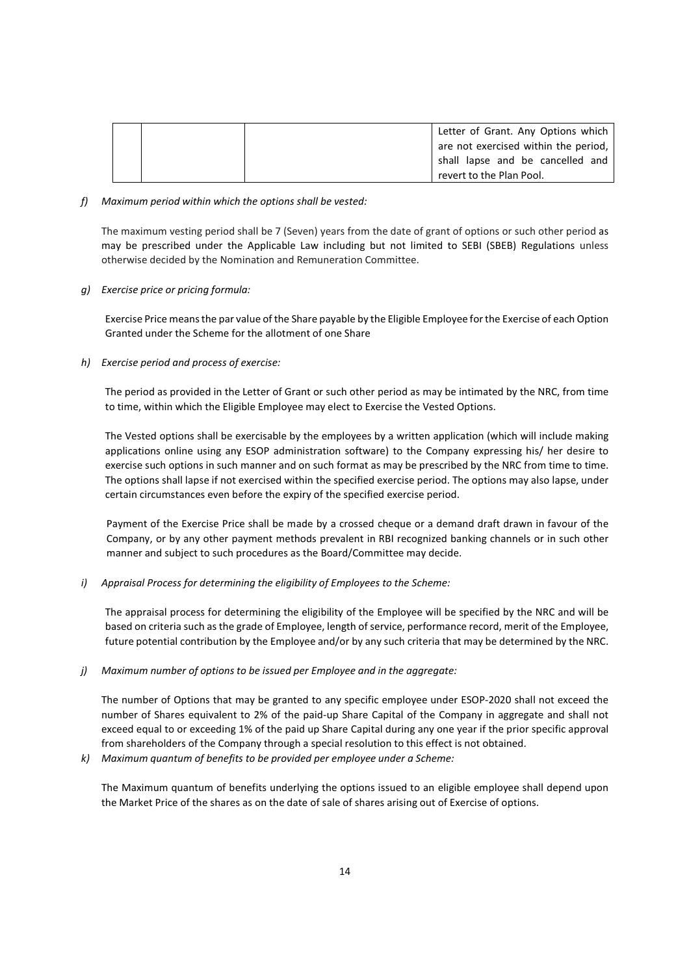|  | Letter of Grant. Any Options which   |
|--|--------------------------------------|
|  | are not exercised within the period, |
|  | shall lapse and be cancelled and     |
|  | revert to the Plan Pool.             |

f) Maximum period within which the options shall be vested:

The maximum vesting period shall be 7 (Seven) years from the date of grant of options or such other period as may be prescribed under the Applicable Law including but not limited to SEBI (SBEB) Regulations unless otherwise decided by the Nomination and Remuneration Committee.

g) Exercise price or pricing formula:

Exercise Price means the par value of the Share payable by the Eligible Employee for the Exercise of each Option Granted under the Scheme for the allotment of one Share

h) Exercise period and process of exercise:

The period as provided in the Letter of Grant or such other period as may be intimated by the NRC, from time to time, within which the Eligible Employee may elect to Exercise the Vested Options.

The Vested options shall be exercisable by the employees by a written application (which will include making applications online using any ESOP administration software) to the Company expressing his/ her desire to exercise such options in such manner and on such format as may be prescribed by the NRC from time to time. The options shall lapse if not exercised within the specified exercise period. The options may also lapse, under certain circumstances even before the expiry of the specified exercise period.

Payment of the Exercise Price shall be made by a crossed cheque or a demand draft drawn in favour of the Company, or by any other payment methods prevalent in RBI recognized banking channels or in such other manner and subject to such procedures as the Board/Committee may decide.

i) Appraisal Process for determining the eligibility of Employees to the Scheme:

The appraisal process for determining the eligibility of the Employee will be specified by the NRC and will be based on criteria such as the grade of Employee, length of service, performance record, merit of the Employee, future potential contribution by the Employee and/or by any such criteria that may be determined by the NRC.

j) Maximum number of options to be issued per Employee and in the aggregate:

The number of Options that may be granted to any specific employee under ESOP-2020 shall not exceed the number of Shares equivalent to 2% of the paid-up Share Capital of the Company in aggregate and shall not exceed equal to or exceeding 1% of the paid up Share Capital during any one year if the prior specific approval from shareholders of the Company through a special resolution to this effect is not obtained.

k) Maximum quantum of benefits to be provided per employee under a Scheme:

The Maximum quantum of benefits underlying the options issued to an eligible employee shall depend upon the Market Price of the shares as on the date of sale of shares arising out of Exercise of options.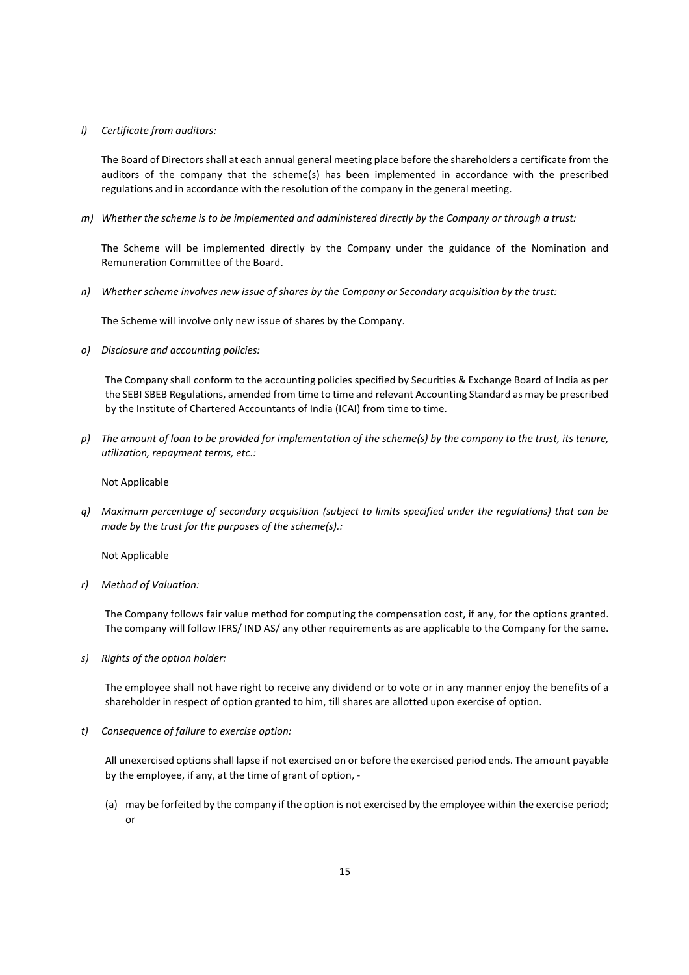### l) Certificate from auditors:

The Board of Directors shall at each annual general meeting place before the shareholders a certificate from the auditors of the company that the scheme(s) has been implemented in accordance with the prescribed regulations and in accordance with the resolution of the company in the general meeting.

m) Whether the scheme is to be implemented and administered directly by the Company or through a trust:

The Scheme will be implemented directly by the Company under the guidance of the Nomination and Remuneration Committee of the Board.

n) Whether scheme involves new issue of shares by the Company or Secondary acquisition by the trust:

The Scheme will involve only new issue of shares by the Company.

o) Disclosure and accounting policies:

The Company shall conform to the accounting policies specified by Securities & Exchange Board of India as per the SEBI SBEB Regulations, amended from time to time and relevant Accounting Standard as may be prescribed by the Institute of Chartered Accountants of India (ICAI) from time to time.

p) The amount of loan to be provided for implementation of the scheme(s) by the company to the trust, its tenure, utilization, repayment terms, etc.:

Not Applicable

q) Maximum percentage of secondary acquisition (subject to limits specified under the regulations) that can be made by the trust for the purposes of the scheme(s).:

Not Applicable

r) Method of Valuation:

The Company follows fair value method for computing the compensation cost, if any, for the options granted. The company will follow IFRS/ IND AS/ any other requirements as are applicable to the Company for the same.

s) Rights of the option holder:

The employee shall not have right to receive any dividend or to vote or in any manner enjoy the benefits of a shareholder in respect of option granted to him, till shares are allotted upon exercise of option.

t) Consequence of failure to exercise option:

All unexercised options shall lapse if not exercised on or before the exercised period ends. The amount payable by the employee, if any, at the time of grant of option, -

(a) may be forfeited by the company if the option is not exercised by the employee within the exercise period; or